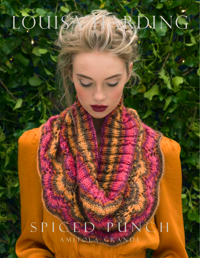LOUISAAMPDING

A M I T O L A G R A N D E S P I C E D P U N C H